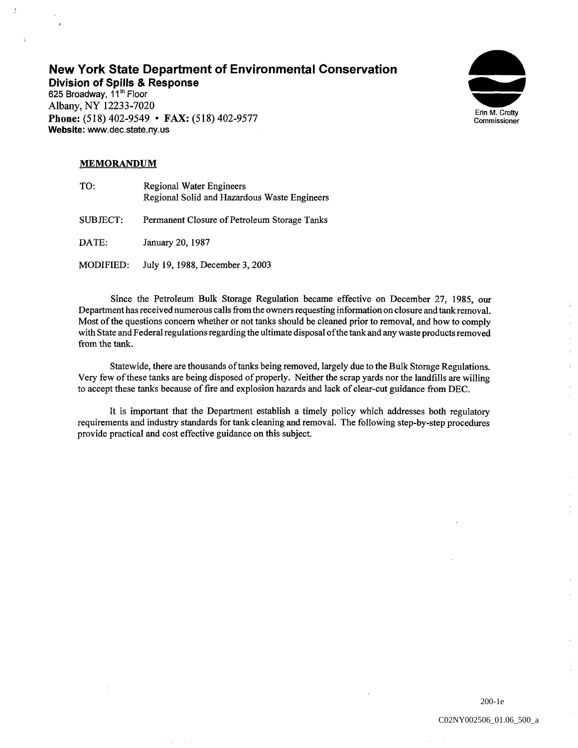# New York State Department of Environmental Conservation

Division of Spills & Response

 $\frac{3}{k}$ 

625 Broadway, 11<sup>th</sup> Floor Albany, NY 12233-7020 Phone: (518) 402-9549 • FAX: (518) 402-9577 Website: www.dec.state.ny.us



## **MEMORANDUM**

| TO:       | Regional Water Engineers<br>Regional Solid and Hazardous Waste Engineers |
|-----------|--------------------------------------------------------------------------|
| SUBJECT:  | Permanent Closure of Petroleum Storage Tanks                             |
| DATE:     | January 20, 1987                                                         |
| MODIFIED: | July 19, 1988, December 3, 2003                                          |

Since the Petroleum Bulk Storage Regulation became effective on December 27 1985 our Department has received numerous calls from the owners requesting information on closure and tank removal Most of the questions concern whether or not tanks should be cleaned prior to removal, and how to comply with State and Federal regulations regarding the ultimate disposal ofthe tank and any waste products removed from the tank

Statewide, there are thousands of tanks being removed, largely due to the Bulk Storage Regulations. Very few of these tanks are being disposed of properly. Neither the scrap yards nor the landfills are willing to accept these tanks because of fire and explosion hazards and lack of clear-cut guidance from DEC

It is important that the Department establish a timely policy which addresses both regulatory requirements and industry standards for tank cleaning and removal The following step-by-step procedures provide practical and cost effective guidance on this subject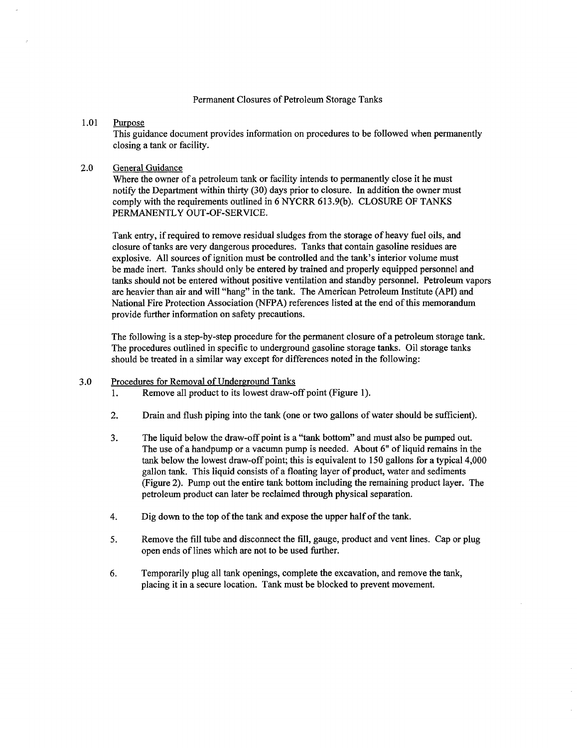### Permanent Closures of Petroleum Storage Tanks

### 1.01 Purpose

This guidance document provides information on procedures to be followed when permanently closing a tank or facility.

### 2.0 General Guidance

Where the owner of a petroleum tank or facility intends to permanently close it he must notify the Department within thirty (30) days prior to closure. In addition the owner must comply with the requirements outlined in 6 NYCRR 613.9(b). CLOSURE OF TANKS PERMANENTLY OUT-OF-SERVICE

Tank entry, if required to remove residual sludges from the storage of heavy fuel oils, and closure of tanks are very dangerous procedures Tanks that contain gasoline residues are explosive. All sources of ignition must be controlled and the tank's interior volume must be made inert. Tanks should only be entered by trained and properly equipped personnel and tanks should not be entered without positive ventilation and standby personnel. Petroleum vapors are heavier than air and will "hang" in the tank. The American Petroleum Institute (API) and National Fire Protection Association (NFPA) references listed at the end of this memorandum provide further information on safety precautions.

The following is a step-by-step procedure for the permanent closure of a petroleum storage tank. The procedures outlined in specific to underground gasoline storage tanks. Oil storage tanks should be treated in a similar way except for differences noted in the following:

#### 3.0 Procedures for Removal of Underground Tanks

- Remove all product to its lowest draw-off point (Figure 1).  $\mathbf{1}$ .
- $2.$ Drain and flush piping into the tank (one or two gallons of water should be sufficient).
- The liquid below the draw-off point is a "tank bottom" and must also be pumped out.  $3.$ The use of a handpump or a vacumn pump is needed. About 6" of liquid remains in the tank below the lowest draw-off point; this is equivalent to  $150$  gallons for a typical  $4,000$ gallon tank. This liquid consists of a floating layer of product, water and sediments (Figure 2). Pump out the entire tank bottom including the remaining product layer. The petroleum product can later be reclaimed through physical separation
- $\overline{4}$ . Dig down to the top of the tank and expose the upper half of the tank
- 5. Remove the fill tube and disconnect the fill, gauge, product and vent lines. Cap or plug open ends of lines which are not to be used further
- 6. Temporarily plug all tank openings, complete the excavation, and remove the tank, placing it in a secure location. Tank must be blocked to prevent movement.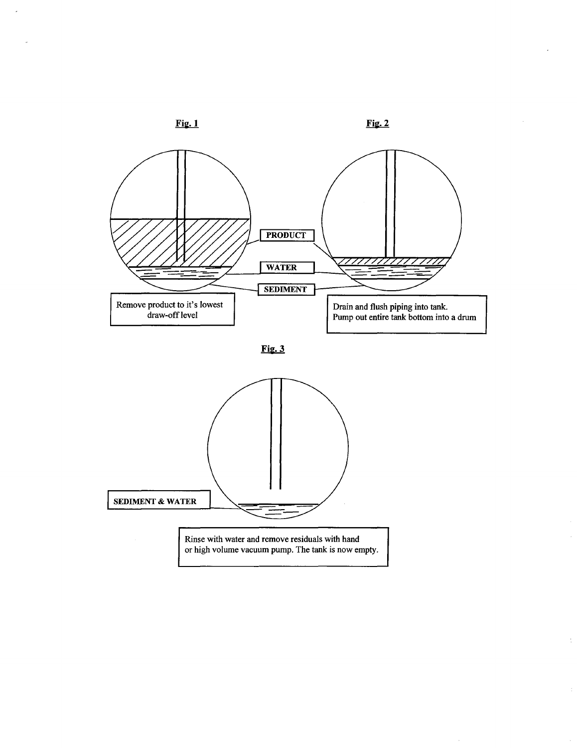

 $\overline{z}$ 

 $\frac{1}{2}$ 

 $\hat{\boldsymbol{\epsilon}}$ 

 $\bar{z}$ 





l.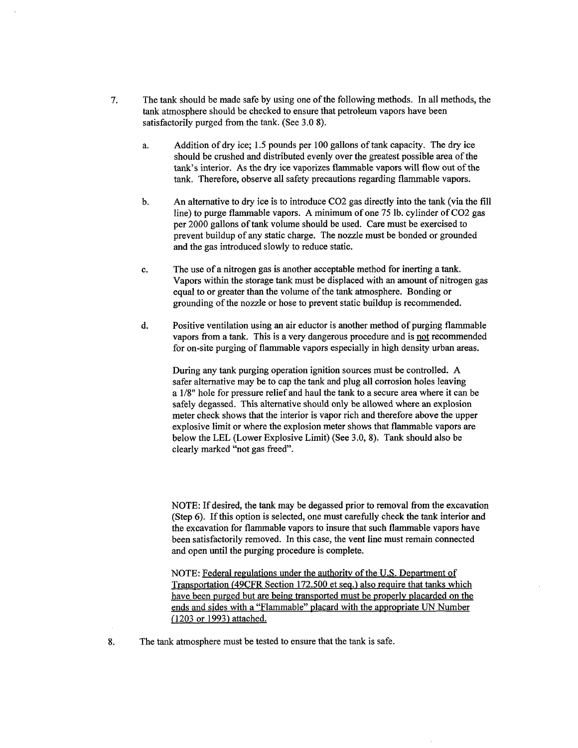- 7. The tank should be made safe by using one of the following methods. In all methods, the tank atmosphere should be checked to ensure that petroleum vapors have been satisfactorily purged from the tank. (See  $3.08$ ).
	- Addition of dry ice; 1.5 pounds per 100 gallons of tank capacity. The dry ice a. should be crushed and distributed evenly over the greatest possible area of the tank's interior. As the dry ice vaporizes flammable vapors will flow out of the tank. Therefore, observe all safety precautions regarding flammable vapors.
	- An alternative to dry ice is to introduce CO2 gas directly into the tank (via the fill  $<sub>b</sub>$ .</sub> line) to purge flammable vapors. A minimum of one 75 lb. cylinder of  $CO2$  gas per 2000 gallons of tank volume should be used. Care must be exercised to prevent buildup of any static charge. The nozzle must be bonded or grounded and the gas introduced slowly to reduce static
	- c. The use of a nitrogen gas is another acceptable method for inerting a tank. Vapors within the storage tank must be displaced with an amount of nitrogen gas equal to or greater than the volume of the tank atmosphere. Bonding or grounding of the nozzle or hose to prevent static buildup is recommended
	- Positive ventilation using an air eductor is another method of purging flammable d. vapors from a tank. This is a very dangerous procedure and is not recommended for on-site purging of flammable vapors especially in high density urban areas

During any tank purging operation ignition sources must be controlled. A safer alternative may be to cap the tank and plug all corrosion holes leaving  $a$  1/8" hole for pressure relief and haul the tank to a secure area where it can be safely degassed. This alternative should only be allowed where an explosion meter check shows that the interior is vapor rich and therefore above the upper explosive limit or where the explosion meter shows that flammable vapors are below the LEL (Lower Explosive Limit) (See 3.0, 8). Tank should also be clearly marked "not gas freed".

NOTE: If desired, the tank may be degassed prior to removal from the excavation  $(Step 6)$ . If this option is selected, one must carefully check the tank interior and the excavation for flammable vapors to insure that such flammable vapors have been satisfactorily removed. In this case, the vent line must remain connected and open until the purging procedure is complete

NOTE: Federal regulations under the authority of the U.S. Department of Transportation (49CFR Section 172.500 et seq.) also require that tanks which have been purged but are being transported must be properly placarded on the ends and sides with a "Flammable" placard with the appropriate UN Number (1203 or 1993) attached.

- The tank atmosphere must be tested to ensure that the tank is safe.
- 8.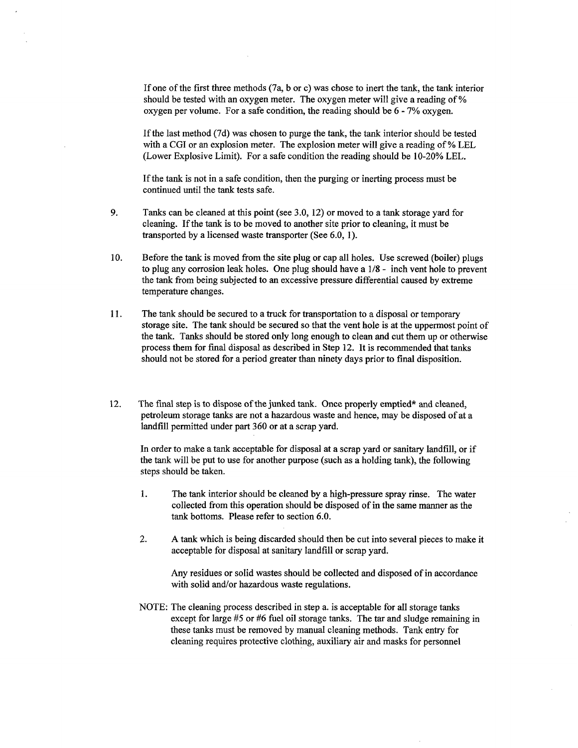If one of the first three methods  $(7a, b, or c)$  was chose to inert the tank, the tank interior should be tested with an oxygen meter. The oxygen meter will give a reading of % oxygen per volume. For a safe condition, the reading should be  $6 - 7\%$  oxygen.

If the last method (7d) was chosen to purge the tank, the tank interior should be tested with a CGI or an explosion meter. The explosion meter will give a reading of  $%$  LEL (Lower Explosive Limit). For a safe condition the reading should be  $10-20\%$  LEL.

If the tank is not in a safe condition, then the purging or inerting process must be continued until the tank tests safe

- 9. Tanks can be cleaned at this point (see 3.0, 12) or moved to a tank storage yard for cleaning. If the tank is to be moved to another site prior to cleaning, it must be transported by a licensed waste transporter (See  $6.0, 1$ ).
- 10. Before the tank is moved from the site plug or cap all holes. Use screwed (boiler) plugs to plug any corrosion leak holes. One plug should have a  $1/8$  - inch vent hole to prevent the tank from being subjected to an excessive pressure differential caused by extreme temperature changes
- 11. The tank should be secured to a truck for transportation to a disposal or temporary storage site. The tank should be secured so that the vent hole is at the uppermost point of the tank. Tanks should be stored only long enough to clean and cut them up or otherwise process them for fmal disposal as described in Step 12 It is recommended that tanks should not be stored for a period greater than ninety days prior to final disposition.
- 12. The final step is to dispose of the junked tank. Once properly emptied\* and cleaned, petroleum storage tanks are not a hazardous waste and hence, may be disposed of at a landfill permitted under part 360 or at a scrap yard.

In order to make a tank acceptable for disposal at a scrap yard or sanitary landfill, or if the tank will be put to use for another purpose (such as a holding tank), the following steps should be taken

- 1. The tank interior should be cleaned by a high-pressure spray rinse. The water collected from this operation should be disposed of in the same manner as the tank bottoms. Please refer to section  $6.0$ .
- $2.$ A tank which is being discarded should then be cut into several pieces to make it acceptable for disposal at sanitary landfill or scrap yard

Any residues or solid wastes should be collected and disposed of in accordance with solid and/or hazardous waste regulations.

NOTE: The cleaning process described in step a. is acceptable for all storage tanks except for large  $#5$  or  $#6$  fuel oil storage tanks. The tar and sludge remaining in these tanks must be removed by manual cleaning methods. Tank entry for cleaning requires protective clothing, auxiliary air and masks for personnel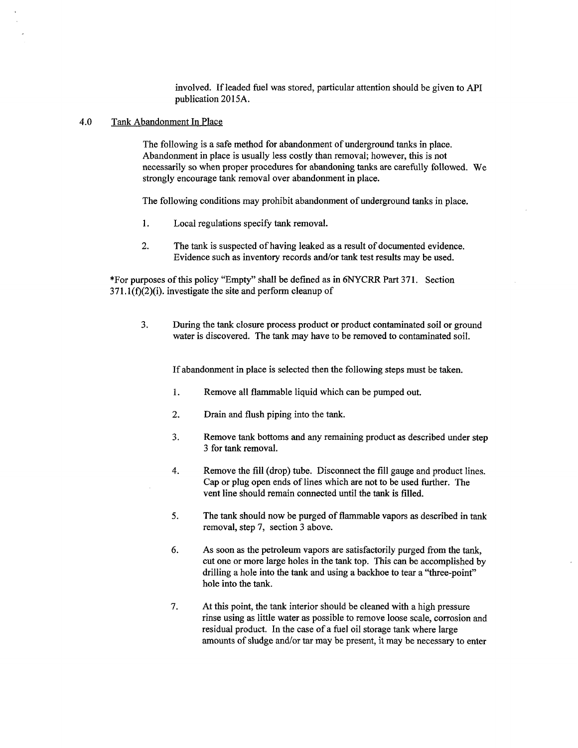involved. If leaded fuel was stored, particular attention should be given to API publication 2015A.

### 4.0 Tank Abandonment In Place

The following is a safe method for abandonment of underground tanks in place. Abandonment in place is usually less costly than removal; however, this is not necessarily so when proper procedures for abandoning tanks are carefully followed We strongly encourage tank removal over abandonment in place

The following conditions may prohibit abandonment of underground tanks in place

- 1. Local regulations specify tank removal
- $2.$ The tank is suspected of having leaked as a result of documented evidence. Evidence such as inventory records and/or tank test results may be used

\*For purposes of this policy "Empty" shall be defined as in 6NYCRR Part 371. Section 371.1(f)(2)(i). investigate the site and perform cleanup of

During the tank closure process product or product contaminated soil or ground  $3.$ water is discovered. The tank may have to be removed to contaminated soil.

If abandonment in place is selected then the following steps must be taken

- $1.$ Remove all flammable liquid which can be pumped out
- 2. Drain and flush piping into the tank
- Remove tank bottoms and any remaining product as described under step 3. 3 for tank removal.
- 4. Remove the fill (drop) tube. Disconnect the fill gauge and product lines. Cap or plug open ends of lines which are not to be used further. The vent line should remain connected until the tank is filled
- 5. The tank should now be purged of flammable vapors as described in tank removal, step 7, section 3 above.
- 6. As soon as the petroleum vapors are satisfactorily purged from the tank cut one or more large holes in the tank top. This can be accomplished by drilling a hole into the tank and using a backhoe to tear a "three-point" hole into the tank
- 7. At this point, the tank interior should be cleaned with a high pressure rinse using as little water as possible to remove loose scale, corrosion and residual product. In the case of a fuel oil storage tank where large amounts of sludge and/or tar may be present, it may be necessary to enter